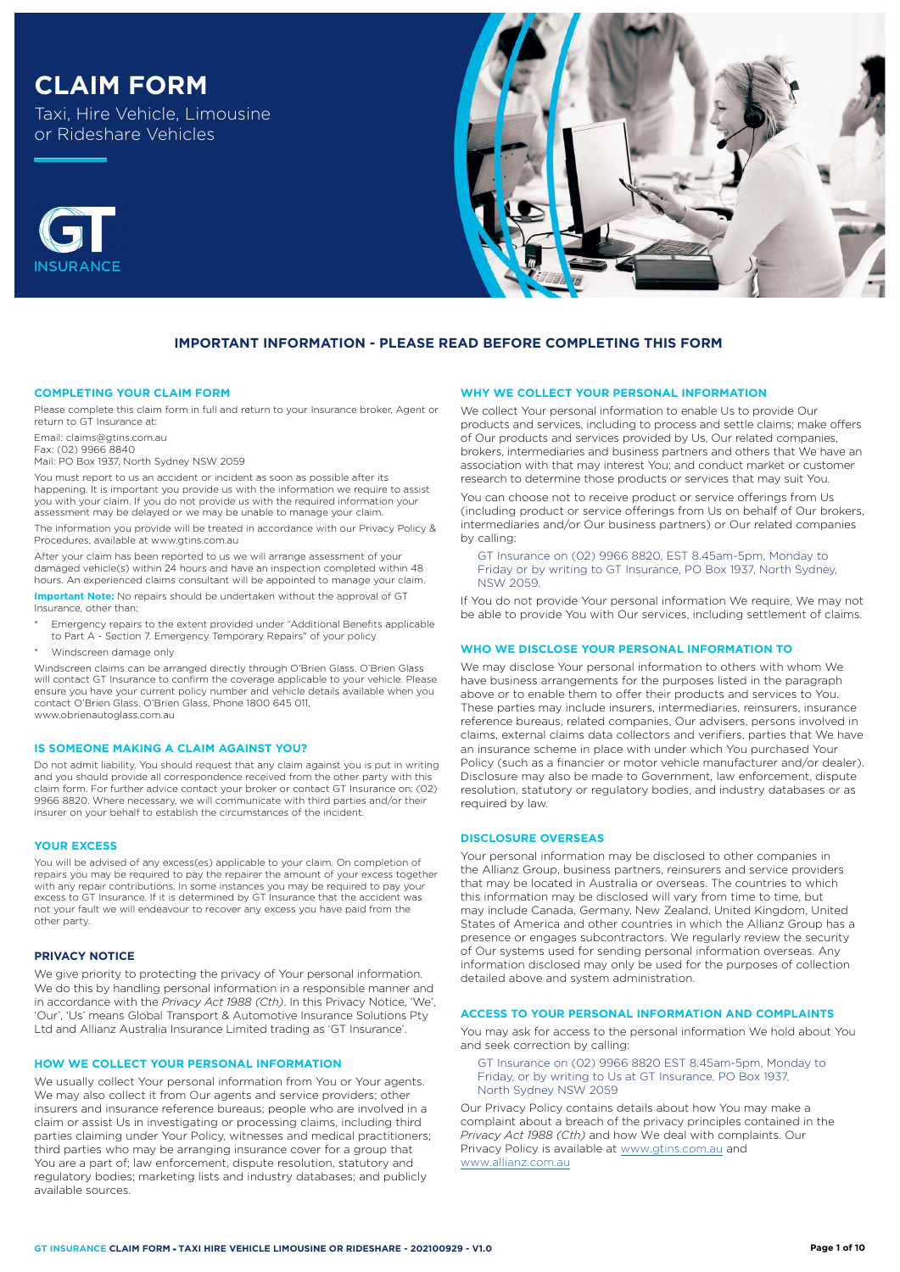# **CLAIM FORM**

Taxi, Hire Vehicle, Limousine or Rideshare Vehicles





# **IMPORTANT INFORMATION - PLEASE READ BEFORE COMPLETING THIS FORM**

## **COMPLETING YOUR CLAIM FORM**

Please complete this claim form in full and return to your Insurance broker, Agent or return to GT Insurance at:

Email: claims@gtins.com.au

Fax: (02) 9966 8840 Mail: PO Box 1937, North Sydney NSW 2059

You must report to us an accident or incident as soon as possible after its happening. It is important you provide us with the information we require to assist you with your claim. If you do not provide us with the required information your assessment may be delayed or we may be unable to manage your claim.

The information you provide will be treated in accordance with our Privacy Policy & Procedures, available at www.gtins.com.au

After your claim has been reported to us we will arrange assessment of your damaged vehicle(s) within 24 hours and have an inspection completed within 48 hours. An experienced claims consultant will be appointed to manage your claim.

**Important Note:** No repairs should be undertaken without the approval of GT Insurance, other than:

- Emergency repairs to the extent provided under "Additional Benefits applicable to Part A - Section 7. Emergency Temporary Repairs" of your policy
- Windscreen damage only

Windscreen claims can be arranged directly through O'Brien Glass. O'Brien Glass will contact GT Insurance to confirm the coverage applicable to your vehicle. Please ensure you have your current policy number and vehicle details available when you contact O'Brien Glass. O'Brien Glass, Phone 1800 645 011, www.obrienautoglass.com.au

## **IS SOMEONE MAKING A CLAIM AGAINST YOU?**

Do not admit liability. You should request that any claim against you is put in writing and you should provide all correspondence received from the other party with this claim form. For further advice contact your broker or contact GT Insurance on: (02) 9966 8820. Where necessary, we will communicate with third parties and/or their insurer on your behalf to establish the circumstances of the incident.

#### **YOUR EXCESS**

You will be advised of any excess(es) applicable to your claim. On completion of repairs you may be required to pay the repairer the amount of your excess together with any repair contributions. In some instances you may be required to pay your excess to GT Insurance. If it is determined by GT Insurance that the accident was not your fault we will endeavour to recover any excess you have paid from the other party.

#### **PRIVACY NOTICE**

We give priority to protecting the privacy of Your personal information. We do this by handling personal information in a responsible manner and in accordance with the *Privacy Act 1988 (Cth)*. In this Privacy Notice, 'We', 'Our', 'Us' means Global Transport & Automotive Insurance Solutions Pty Ltd and Allianz Australia Insurance Limited trading as 'GT Insurance'.

# **HOW WE COLLECT YOUR PERSONAL INFORMATION**

We usually collect Your personal information from You or Your agents. We may also collect it from Our agents and service providers; other insurers and insurance reference bureaus; people who are involved in a claim or assist Us in investigating or processing claims, including third parties claiming under Your Policy, witnesses and medical practitioners; third parties who may be arranging insurance cover for a group that You are a part of; law enforcement, dispute resolution, statutory and regulatory bodies; marketing lists and industry databases; and publicly available sources.

## **WHY WE COLLECT YOUR PERSONAL INFORMATION**

We collect Your personal information to enable Us to provide Our products and services, including to process and settle claims; make offers of Our products and services provided by Us, Our related companies, brokers, intermediaries and business partners and others that We have an association with that may interest You; and conduct market or customer research to determine those products or services that may suit You.

You can choose not to receive product or service offerings from Us (including product or service offerings from Us on behalf of Our brokers, intermediaries and/or Our business partners) or Our related companies by calling:

GT Insurance on (02) 9966 8820, EST 8.45am-5pm, Monday to Friday or by writing to GT Insurance, PO Box 1937, North Sydney, NSW 2059.

If You do not provide Your personal information We require, We may not be able to provide You with Our services, including settlement of claims.

#### **WHO WE DISCLOSE YOUR PERSONAL INFORMATION TO**

We may disclose Your personal information to others with whom We have business arrangements for the purposes listed in the paragraph above or to enable them to offer their products and services to You. These parties may include insurers, intermediaries, reinsurers, insurance reference bureaus, related companies, Our advisers, persons involved in claims, external claims data collectors and verifiers, parties that We have an insurance scheme in place with under which You purchased Your Policy (such as a financier or motor vehicle manufacturer and/or dealer). Disclosure may also be made to Government, law enforcement, dispute resolution, statutory or regulatory bodies, and industry databases or as required by law.

## **DISCLOSURE OVERSEAS**

Your personal information may be disclosed to other companies in the Allianz Group, business partners, reinsurers and service providers that may be located in Australia or overseas. The countries to which this information may be disclosed will vary from time to time, but may include Canada, Germany, New Zealand, United Kingdom, United States of America and other countries in which the Allianz Group has a presence or engages subcontractors. We regularly review the security of Our systems used for sending personal information overseas. Any information disclosed may only be used for the purposes of collection detailed above and system administration.

## **ACCESS TO YOUR PERSONAL INFORMATION AND COMPLAINTS**

You may ask for access to the personal information We hold about You and seek correction by calling:

GT Insurance on (02) 9966 8820 EST 8.45am-5pm, Monday to Friday, or by writing to Us at GT Insurance, PO Box 1937, North Sydney NSW 2059

Our Privacy Policy contains details about how You may make a complaint about a breach of the privacy principles contained in the *Privacy Act 1988 (Cth)* and how We deal with complaints. Our Privacy Policy is available at [www.gtins.com.au](https://www.gtins.com.au/documents-and-policies/) and [www.allianz.com.au](https://www.allianz.com.au/about-us/privacy/)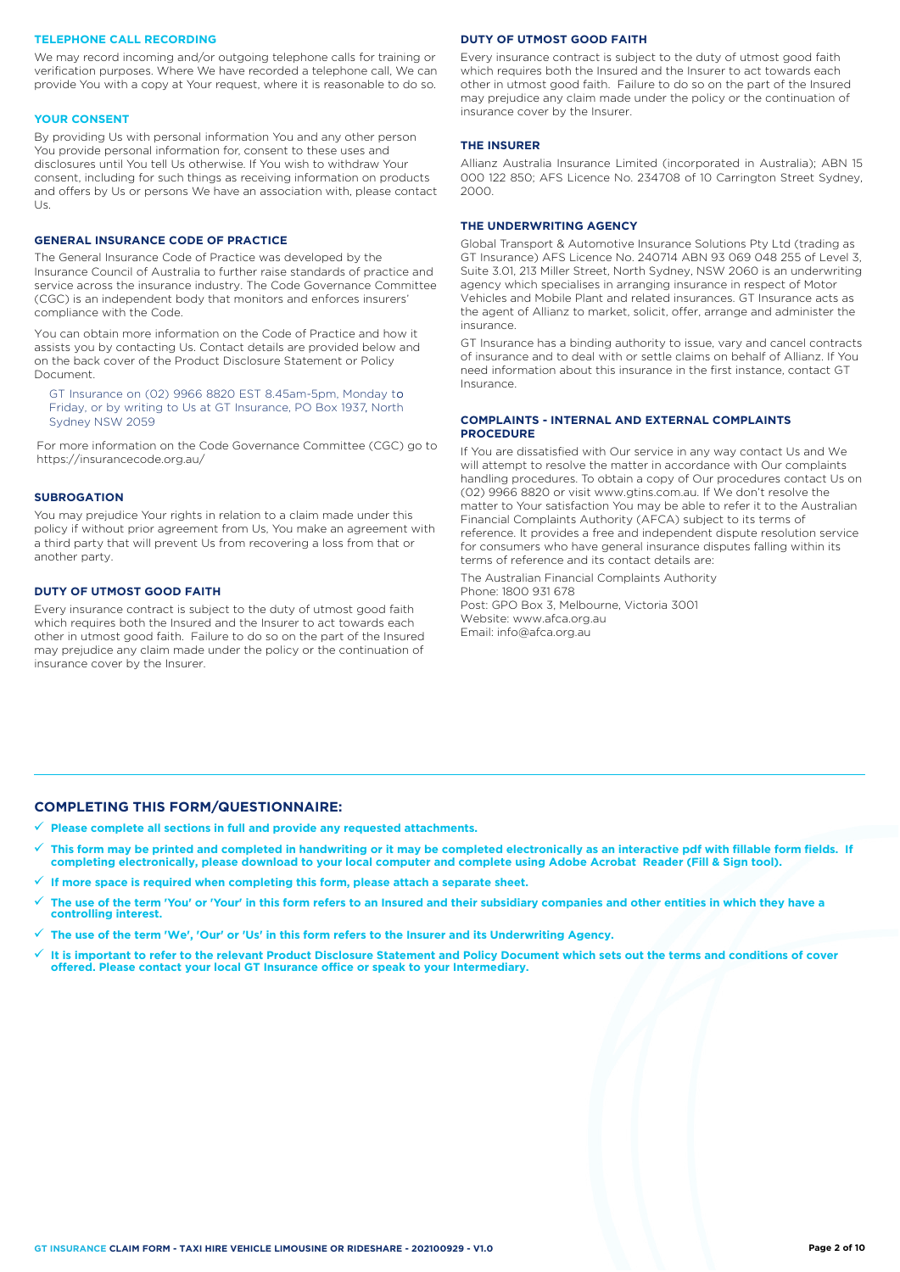## **TELEPHONE CALL RECORDING**

We may record incoming and/or outgoing telephone calls for training or verification purposes. Where We have recorded a telephone call, We can provide You with a copy at Your request, where it is reasonable to do so.

## **YOUR CONSENT**

By providing Us with personal information You and any other person You provide personal information for, consent to these uses and disclosures until You tell Us otherwise. If You wish to withdraw Your consent, including for such things as receiving information on products and offers by Us or persons We have an association with, please contact  $| \cdot |$ 

#### **GENERAL INSURANCE CODE OF PRACTICE**

The General Insurance Code of Practice was developed by the Insurance Council of Australia to further raise standards of practice and service across the insurance industry. The Code Governance Committee (CGC) is an independent body that monitors and enforces insurers' compliance with the Code.

You can obtain more information on the Code of Practice and how it assists you by contacting Us. Contact details are provided below and on the back cover of the Product Disclosure Statement or Policy Document.

GT Insurance on (02) 9966 8820 EST 8.45am-5pm, Monday to Friday, or by writing to Us at GT Insurance, PO Box 1937, North Sydney NSW 2059

For more information on the Code Governance Committee (CGC) go to <https://insurancecode.org.au/>

### **SUBROGATION**

You may prejudice Your rights in relation to a claim made under this policy if without prior agreement from Us, You make an agreement with a third party that will prevent Us from recovering a loss from that or another party.

# **DUTY OF UTMOST GOOD FAITH**

Every insurance contract is subject to the duty of utmost good faith which requires both the Insured and the Insurer to act towards each other in utmost good faith. Failure to do so on the part of the Insured may prejudice any claim made under the policy or the continuation of insurance cover by the Insurer.

## **DUTY OF UTMOST GOOD FAITH**

Every insurance contract is subject to the duty of utmost good faith which requires both the Insured and the Insurer to act towards each other in utmost good faith. Failure to do so on the part of the Insured may prejudice any claim made under the policy or the continuation of insurance cover by the Insurer.

## **THE INSURER**

Allianz Australia Insurance Limited (incorporated in Australia); ABN 15 000 122 850; AFS Licence No. 234708 of 10 Carrington Street Sydney, 2000.

# **THE UNDERWRITING AGENCY**

Global Transport & Automotive Insurance Solutions Pty Ltd (trading as GT Insurance) AFS Licence No. 240714 ABN 93 069 048 255 of Level 3, Suite 3.01, 213 Miller Street, North Sydney, NSW 2060 is an underwriting agency which specialises in arranging insurance in respect of Motor Vehicles and Mobile Plant and related insurances. GT Insurance acts as the agent of Allianz to market, solicit, offer, arrange and administer the insurance.

GT Insurance has a binding authority to issue, vary and cancel contracts of insurance and to deal with or settle claims on behalf of Allianz. If You need information about this insurance in the first instance, contact GT Insurance.

## **COMPLAINTS - INTERNAL AND EXTERNAL COMPLAINTS PROCEDURE**

If You are dissatisfied with Our service in any way contact Us and We will attempt to resolve the matter in accordance with Our complaints handling procedures. To obtain a copy of Our procedures contact Us on (02) 9966 8820 or visit www.gtins.com.au. If We don't resolve the matter to Your satisfaction You may be able to refer it to the Australian Financial Complaints Authority (AFCA) subject to its terms of reference. It provides a free and independent dispute resolution service for consumers who have general insurance disputes falling within its terms of reference and its contact details are:

The Australian Financial Complaints Authority Phone: 1800 931 678 Post: GPO Box 3, Melbourne, Victoria 3001 Website: www.afca.org.au Email: info@afca.org.au

# **COMPLETING THIS FORM/QUESTIONNAIRE:**

- **Please complete all sections in full and provide any requested attachments.**
- **This form may be printed and completed in handwriting or it may be completed electronically as an interactive pdf with fillable form fields. If completing electronically, please download to your local computer and complete using Adobe Acrobat Reader (Fill & Sign tool).**
- **If more space is required when completing this form, please attach a separate sheet.**
- **The use of the term 'You' or 'Your' in this form refers to an Insured and their subsidiary companies and other entities in which they have a controlling interest.**
- **The use of the term 'We', 'Our' or 'Us' in this form refers to the Insurer and its Underwriting Agency.**
- **It is important to refer to the relevant Product Disclosure Statement and Policy Document which sets out the terms and conditions of cover offered. Please contact your local GT Insurance office or speak to your Intermediary.**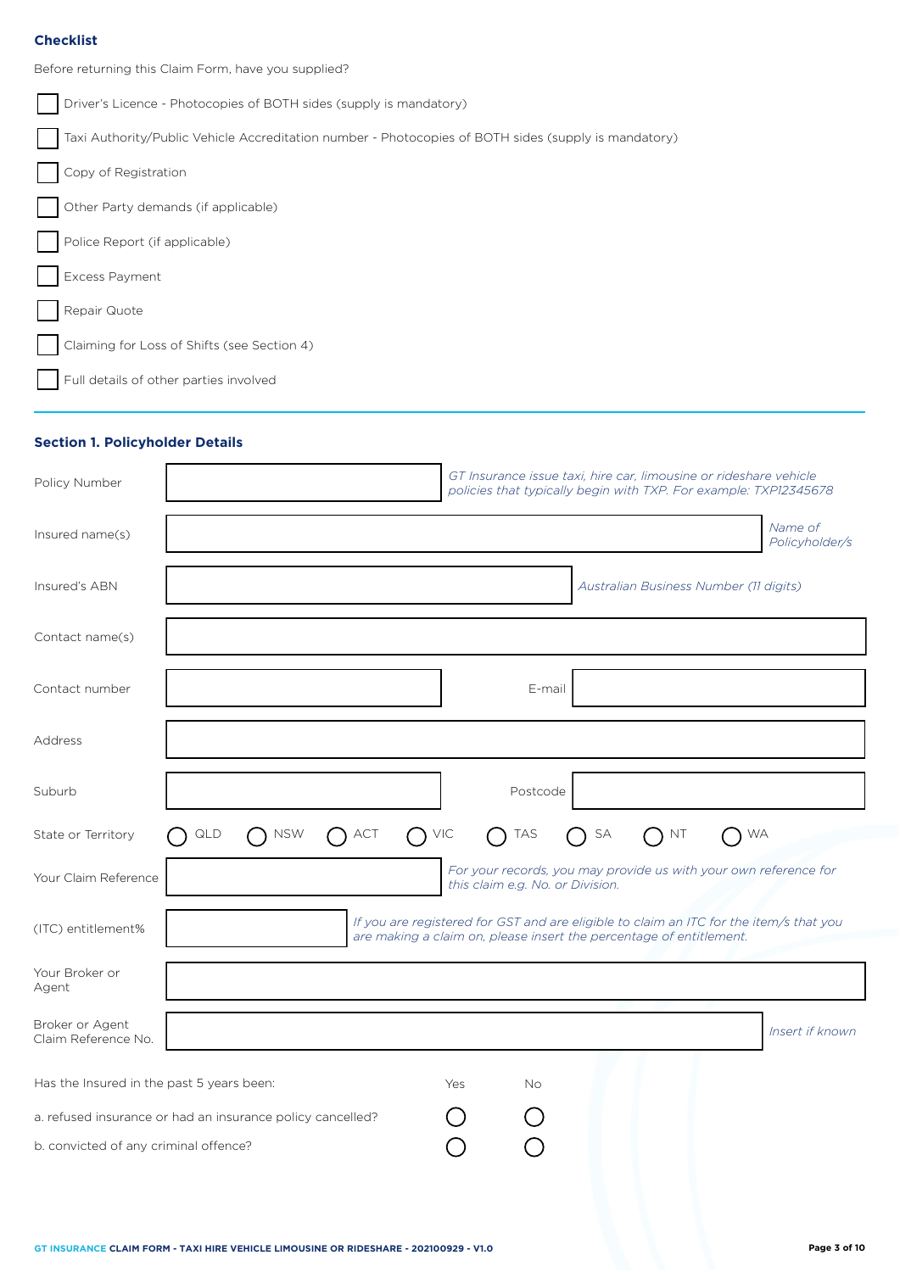# **Checklist**

| Before returning this Claim Form, have you supplied?                                                 |  |
|------------------------------------------------------------------------------------------------------|--|
| Driver's Licence - Photocopies of BOTH sides (supply is mandatory)                                   |  |
| Taxi Authority/Public Vehicle Accreditation number - Photocopies of BOTH sides (supply is mandatory) |  |
| Copy of Registration                                                                                 |  |
| Other Party demands (if applicable)                                                                  |  |
| Police Report (if applicable)                                                                        |  |
| Excess Payment                                                                                       |  |
| Repair Quote                                                                                         |  |
| Claiming for Loss of Shifts (see Section 4)                                                          |  |
| Full details of other parties involved                                                               |  |

# **Section 1. Policyholder Details**

| Policy Number                             |                                                            |                                                                                                                                                               |     |                                  |    | GT Insurance issue taxi, hire car, limousine or rideshare vehicle<br>policies that typically begin with TXP. For example: TXP12345678 |    |                           |
|-------------------------------------------|------------------------------------------------------------|---------------------------------------------------------------------------------------------------------------------------------------------------------------|-----|----------------------------------|----|---------------------------------------------------------------------------------------------------------------------------------------|----|---------------------------|
| Insured name(s)                           |                                                            |                                                                                                                                                               |     |                                  |    |                                                                                                                                       |    | Name of<br>Policyholder/s |
| Insured's ABN                             |                                                            |                                                                                                                                                               |     |                                  |    | Australian Business Number (11 digits)                                                                                                |    |                           |
| Contact name(s)                           |                                                            |                                                                                                                                                               |     |                                  |    |                                                                                                                                       |    |                           |
| Contact number                            |                                                            |                                                                                                                                                               |     | E-mail                           |    |                                                                                                                                       |    |                           |
| Address                                   |                                                            |                                                                                                                                                               |     |                                  |    |                                                                                                                                       |    |                           |
| Suburb                                    |                                                            |                                                                                                                                                               |     | Postcode                         |    |                                                                                                                                       |    |                           |
| State or Territory                        | <b>NSW</b><br><b>QLD</b>                                   | ACT                                                                                                                                                           | VIC | <b>TAS</b>                       | SA | NT                                                                                                                                    | WA |                           |
| Your Claim Reference                      |                                                            |                                                                                                                                                               |     | this claim e.g. No. or Division. |    | For your records, you may provide us with your own reference for                                                                      |    |                           |
| (ITC) entitlement%                        |                                                            | If you are registered for GST and are eligible to claim an ITC for the item/s that you<br>are making a claim on, please insert the percentage of entitlement. |     |                                  |    |                                                                                                                                       |    |                           |
| Your Broker or<br>Agent                   |                                                            |                                                                                                                                                               |     |                                  |    |                                                                                                                                       |    |                           |
| Broker or Agent<br>Claim Reference No.    |                                                            |                                                                                                                                                               |     |                                  |    |                                                                                                                                       |    | Insert if known           |
| Has the Insured in the past 5 years been: |                                                            |                                                                                                                                                               | Yes | No                               |    |                                                                                                                                       |    |                           |
|                                           | a. refused insurance or had an insurance policy cancelled? |                                                                                                                                                               |     |                                  |    |                                                                                                                                       |    |                           |
| b. convicted of any criminal offence?     |                                                            |                                                                                                                                                               |     |                                  |    |                                                                                                                                       |    |                           |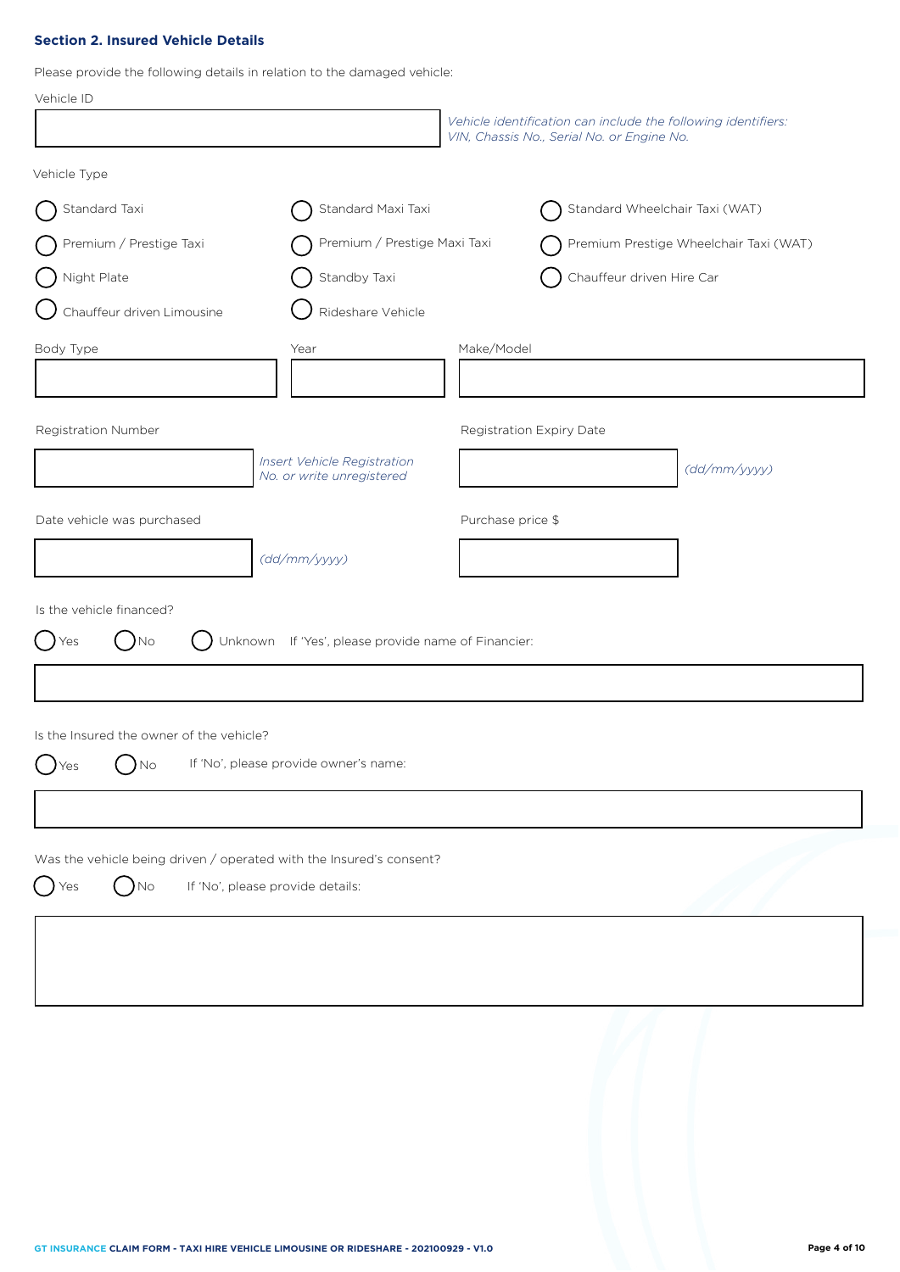# **Section 2. Insured Vehicle Details**

Please provide the following details in relation to the damaged vehicle:

| Vehicle identification can include the following identifiers:<br>VIN, Chassis No., Serial No. or Engine No.<br>Vehicle Type<br>Standard Maxi Taxi<br>Standard Taxi<br>Standard Wheelchair Taxi (WAT)<br>Premium / Prestige Taxi<br>Premium / Prestige Maxi Taxi<br>Premium Prestige Wheelchair Taxi (WAT)<br>Night Plate<br>Standby Taxi<br>Chauffeur driven Hire Car<br>Chauffeur driven Limousine<br>Rideshare Vehicle<br>Make/Model<br>Body Type<br>Year<br>Registration Number<br>Registration Expiry Date<br>Insert Vehicle Registration<br>(dd/mm/yyyy)<br>No. or write unregistered<br>Date vehicle was purchased<br>Purchase price \$<br>(dd/mm/yyyy)<br>Is the vehicle financed?<br><b>No</b><br>Unknown If 'Yes', please provide name of Financier:<br>Yes<br>Is the Insured the owner of the vehicle?<br>Was the vehicle being driven / operated with the Insured's consent?<br><b>No</b><br>If 'No', please provide details:<br>Yes | Vehicle ID |  |  |
|-------------------------------------------------------------------------------------------------------------------------------------------------------------------------------------------------------------------------------------------------------------------------------------------------------------------------------------------------------------------------------------------------------------------------------------------------------------------------------------------------------------------------------------------------------------------------------------------------------------------------------------------------------------------------------------------------------------------------------------------------------------------------------------------------------------------------------------------------------------------------------------------------------------------------------------------------|------------|--|--|
|                                                                                                                                                                                                                                                                                                                                                                                                                                                                                                                                                                                                                                                                                                                                                                                                                                                                                                                                                 |            |  |  |
|                                                                                                                                                                                                                                                                                                                                                                                                                                                                                                                                                                                                                                                                                                                                                                                                                                                                                                                                                 |            |  |  |
|                                                                                                                                                                                                                                                                                                                                                                                                                                                                                                                                                                                                                                                                                                                                                                                                                                                                                                                                                 |            |  |  |
|                                                                                                                                                                                                                                                                                                                                                                                                                                                                                                                                                                                                                                                                                                                                                                                                                                                                                                                                                 |            |  |  |
|                                                                                                                                                                                                                                                                                                                                                                                                                                                                                                                                                                                                                                                                                                                                                                                                                                                                                                                                                 |            |  |  |
|                                                                                                                                                                                                                                                                                                                                                                                                                                                                                                                                                                                                                                                                                                                                                                                                                                                                                                                                                 |            |  |  |
|                                                                                                                                                                                                                                                                                                                                                                                                                                                                                                                                                                                                                                                                                                                                                                                                                                                                                                                                                 |            |  |  |
|                                                                                                                                                                                                                                                                                                                                                                                                                                                                                                                                                                                                                                                                                                                                                                                                                                                                                                                                                 |            |  |  |
|                                                                                                                                                                                                                                                                                                                                                                                                                                                                                                                                                                                                                                                                                                                                                                                                                                                                                                                                                 |            |  |  |
|                                                                                                                                                                                                                                                                                                                                                                                                                                                                                                                                                                                                                                                                                                                                                                                                                                                                                                                                                 |            |  |  |
|                                                                                                                                                                                                                                                                                                                                                                                                                                                                                                                                                                                                                                                                                                                                                                                                                                                                                                                                                 |            |  |  |
|                                                                                                                                                                                                                                                                                                                                                                                                                                                                                                                                                                                                                                                                                                                                                                                                                                                                                                                                                 |            |  |  |
|                                                                                                                                                                                                                                                                                                                                                                                                                                                                                                                                                                                                                                                                                                                                                                                                                                                                                                                                                 |            |  |  |
|                                                                                                                                                                                                                                                                                                                                                                                                                                                                                                                                                                                                                                                                                                                                                                                                                                                                                                                                                 |            |  |  |
|                                                                                                                                                                                                                                                                                                                                                                                                                                                                                                                                                                                                                                                                                                                                                                                                                                                                                                                                                 |            |  |  |
|                                                                                                                                                                                                                                                                                                                                                                                                                                                                                                                                                                                                                                                                                                                                                                                                                                                                                                                                                 |            |  |  |
|                                                                                                                                                                                                                                                                                                                                                                                                                                                                                                                                                                                                                                                                                                                                                                                                                                                                                                                                                 |            |  |  |
|                                                                                                                                                                                                                                                                                                                                                                                                                                                                                                                                                                                                                                                                                                                                                                                                                                                                                                                                                 |            |  |  |
|                                                                                                                                                                                                                                                                                                                                                                                                                                                                                                                                                                                                                                                                                                                                                                                                                                                                                                                                                 |            |  |  |
|                                                                                                                                                                                                                                                                                                                                                                                                                                                                                                                                                                                                                                                                                                                                                                                                                                                                                                                                                 |            |  |  |
|                                                                                                                                                                                                                                                                                                                                                                                                                                                                                                                                                                                                                                                                                                                                                                                                                                                                                                                                                 |            |  |  |
|                                                                                                                                                                                                                                                                                                                                                                                                                                                                                                                                                                                                                                                                                                                                                                                                                                                                                                                                                 |            |  |  |
|                                                                                                                                                                                                                                                                                                                                                                                                                                                                                                                                                                                                                                                                                                                                                                                                                                                                                                                                                 |            |  |  |
|                                                                                                                                                                                                                                                                                                                                                                                                                                                                                                                                                                                                                                                                                                                                                                                                                                                                                                                                                 |            |  |  |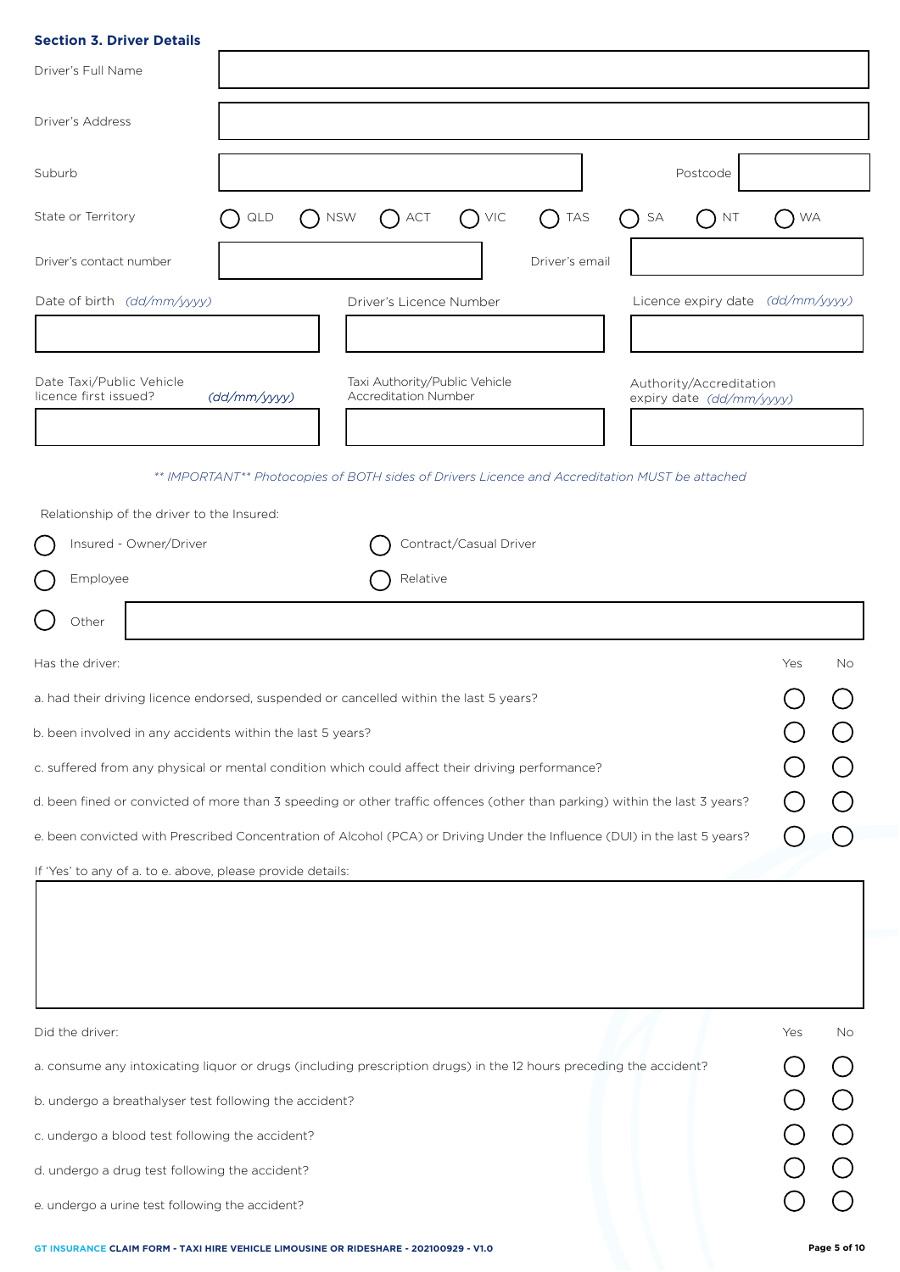# **Section 3. Driver Details**

| SECHON S. DITTER DETAILS                                   |              |                                                                                                                            |           |    |
|------------------------------------------------------------|--------------|----------------------------------------------------------------------------------------------------------------------------|-----------|----|
| Driver's Full Name                                         |              |                                                                                                                            |           |    |
| Driver's Address                                           |              |                                                                                                                            |           |    |
| Suburb                                                     |              | Postcode                                                                                                                   |           |    |
| State or Territory                                         | QLD          | <b>NSW</b><br>VIC<br>TAS<br>ACT<br>SA<br><b>NT</b>                                                                         | <b>WA</b> |    |
| Driver's contact number                                    |              | Driver's email                                                                                                             |           |    |
| Date of birth (dd/mm/yyyy)                                 |              | Licence expiry date (dd/mm/yyyy)<br>Driver's Licence Number                                                                |           |    |
|                                                            |              |                                                                                                                            |           |    |
| Date Taxi/Public Vehicle<br>licence first issued?          | (dd/mm/yyyy) | Taxi Authority/Public Vehicle<br>Authority/Accreditation<br><b>Accreditation Number</b><br>expiry date (dd/mm/yyyy)        |           |    |
|                                                            |              |                                                                                                                            |           |    |
| Relationship of the driver to the Insured:                 |              | ** IMPORTANT** Photocopies of BOTH sides of Drivers Licence and Accreditation MUST be attached                             |           |    |
| Insured - Owner/Driver                                     |              | Contract/Casual Driver                                                                                                     |           |    |
| Employee                                                   |              | Relative                                                                                                                   |           |    |
| Other                                                      |              |                                                                                                                            |           |    |
| Has the driver:                                            |              |                                                                                                                            | Yes       | No |
|                                                            |              | a. had their driving licence endorsed, suspended or cancelled within the last 5 years?                                     |           |    |
| b. been involved in any accidents within the last 5 years? |              |                                                                                                                            |           |    |
|                                                            |              | c. suffered from any physical or mental condition which could affect their driving performance?                            |           |    |
|                                                            |              | d. been fined or convicted of more than 3 speeding or other traffic offences (other than parking) within the last 3 years? |           |    |
|                                                            |              | e. been convicted with Prescribed Concentration of Alcohol (PCA) or Driving Under the Influence (DUI) in the last 5 years? |           |    |
| If 'Yes' to any of a. to e. above, please provide details: |              |                                                                                                                            |           |    |
|                                                            |              |                                                                                                                            |           |    |
| Did the driver:                                            |              |                                                                                                                            | Yes       | No |
|                                                            |              | a. consume any intoxicating liquor or drugs (including prescription drugs) in the 12 hours preceding the accident?         |           |    |
| b. undergo a breathalyser test following the accident?     |              |                                                                                                                            |           |    |
| c. undergo a blood test following the accident?            |              |                                                                                                                            |           |    |
| d. undergo a drug test following the accident?             |              |                                                                                                                            |           |    |
| e. undergo a urine test following the accident?            |              |                                                                                                                            |           |    |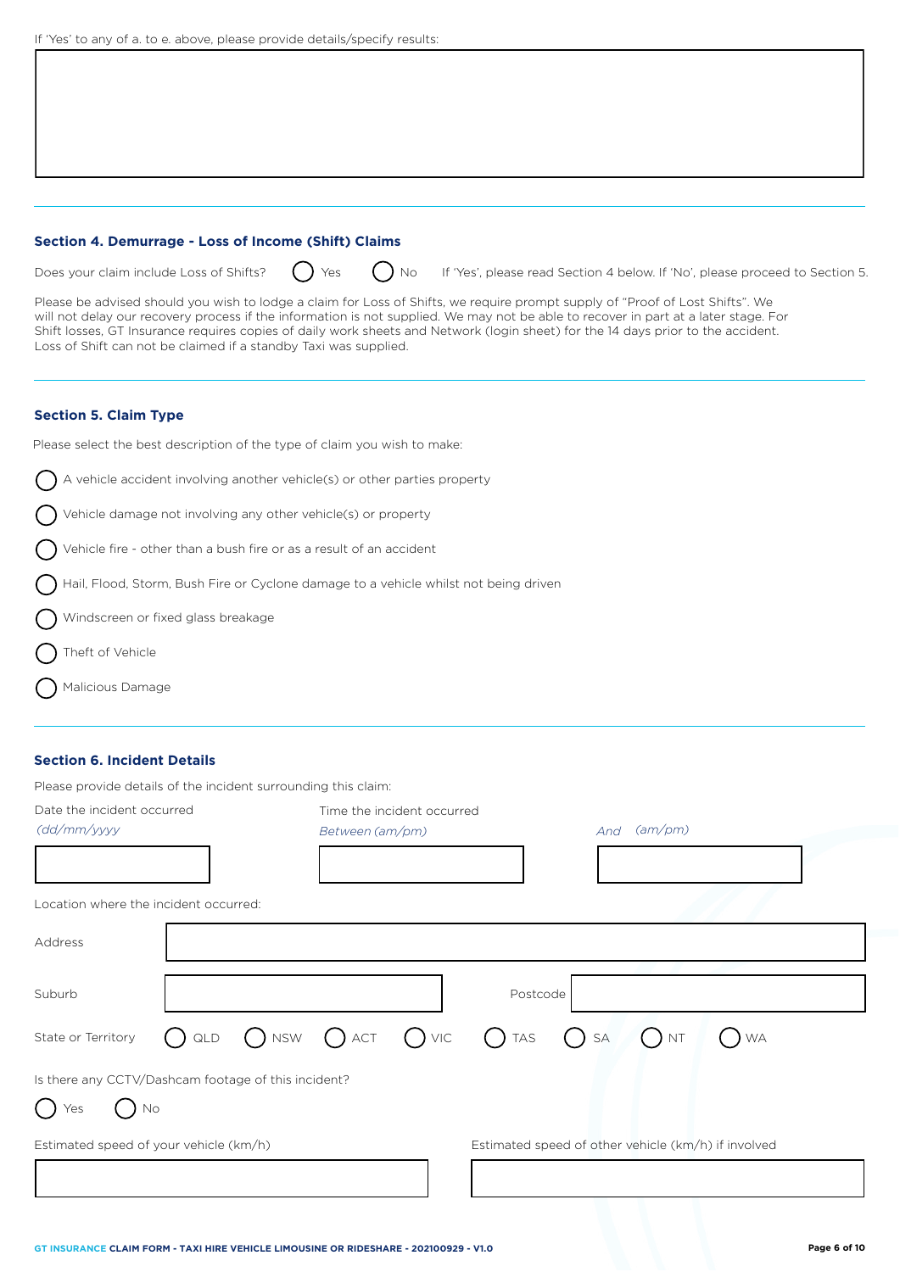| If 'Yes' to any of a. to e. above, please provide details/specify results: |  |
|----------------------------------------------------------------------------|--|
|----------------------------------------------------------------------------|--|

|  | Section 4. Demurrage - Loss of Income (Shift) Claims |  |  |  |  |
|--|------------------------------------------------------|--|--|--|--|
|--|------------------------------------------------------|--|--|--|--|

| Does your claim include Loss of Shifts? |  |  |  |
|-----------------------------------------|--|--|--|

 $\bigcap$  Yes  $\bigcap$  No If 'Yes', please read Section 4 below. If 'No', please proceed to Section 5.

Please be advised should you wish to lodge a claim for Loss of Shifts, we require prompt supply of "Proof of Lost Shifts". We will not delay our recovery process if the information is not supplied. We may not be able to recover in part at a later stage. For Shift losses, GT Insurance requires copies of daily work sheets and Network (login sheet) for the 14 days prior to the accident. Loss of Shift can not be claimed if a standby Taxi was supplied.

# **Section 5. Claim Type**

Please select the best description of the type of claim you wish to make:

- A vehicle accident involving another vehicle(s) or other parties property
- Vehicle damage not involving any other vehicle(s) or property
- Vehicle fire other than a bush fire or as a result of an accident
- Hail, Flood, Storm, Bush Fire or Cyclone damage to a vehicle whilst not being driven
- Windscreen or fixed glass breakage
- Theft of Vehicle
- Malicious Damage

# **Section 6. Incident Details**

| Please provide details of the incident surrounding this claim: |  |
|----------------------------------------------------------------|--|
|                                                                |  |

| Date the incident occurred                          |                                                                                   | Time the incident occurred |                                                     |        |
|-----------------------------------------------------|-----------------------------------------------------------------------------------|----------------------------|-----------------------------------------------------|--------|
| (dd/mm/yyyy                                         | Between (am/pm)                                                                   |                            | (am/pm)<br>And                                      |        |
|                                                     |                                                                                   |                            |                                                     |        |
| Location where the incident occurred:               |                                                                                   |                            |                                                     |        |
| Address                                             |                                                                                   |                            |                                                     |        |
| Suburb                                              |                                                                                   | Postcode                   |                                                     |        |
| State or Territory<br>$\mathsf{QLD}$                | $\bigcap$ nsw $\bigcap$ act $\bigcap$ vic $\bigcap$ tas $\bigcap$ sa $\bigcap$ nt |                            |                                                     | $)$ WA |
| Is there any CCTV/Dashcam footage of this incident? |                                                                                   |                            |                                                     |        |
| No<br>Yes                                           |                                                                                   |                            |                                                     |        |
| Estimated speed of your vehicle (km/h)              |                                                                                   |                            | Estimated speed of other vehicle (km/h) if involved |        |
|                                                     |                                                                                   |                            |                                                     |        |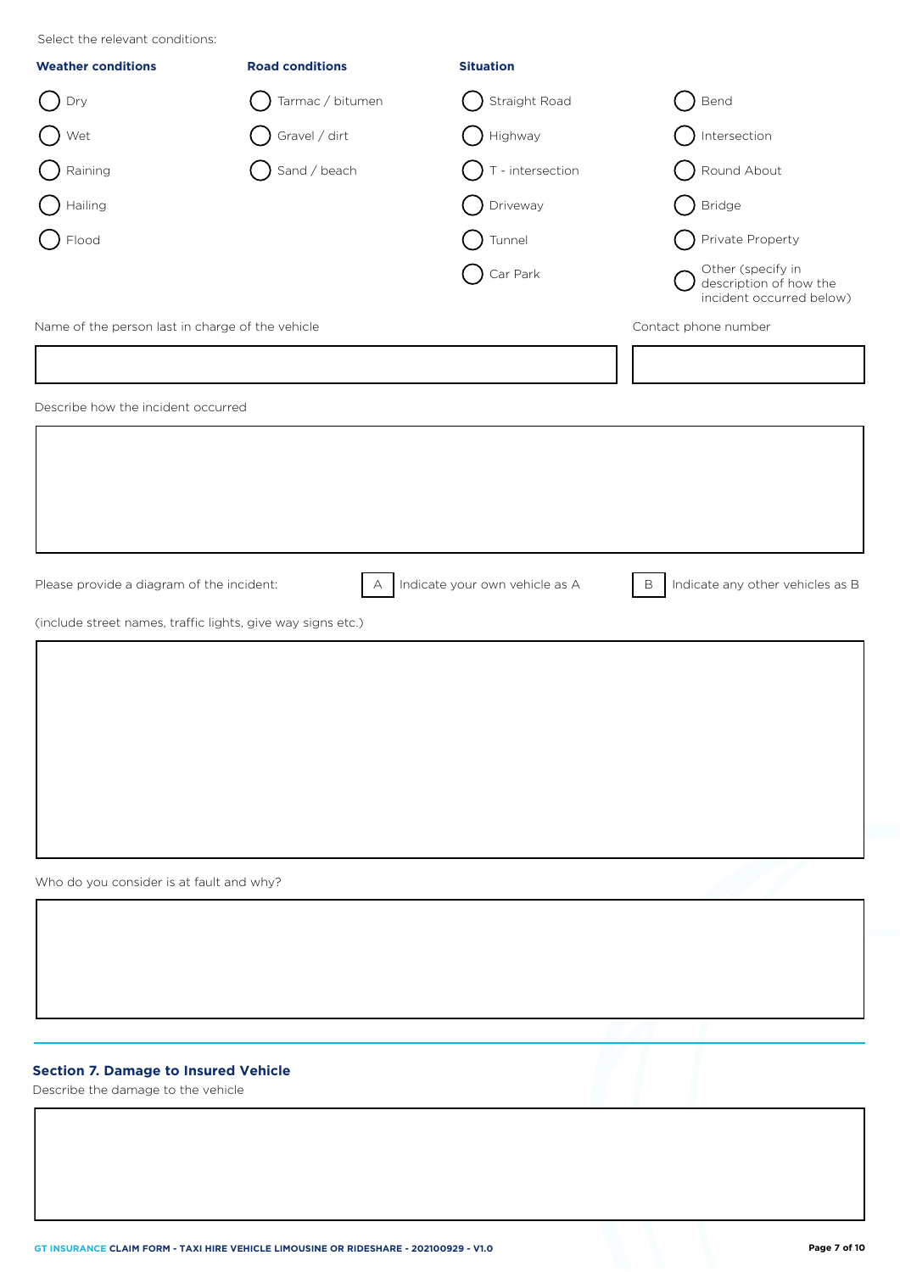| Select the relevant conditions:                             |                        |                                |                                                                         |
|-------------------------------------------------------------|------------------------|--------------------------------|-------------------------------------------------------------------------|
| <b>Weather conditions</b>                                   | <b>Road conditions</b> | <b>Situation</b>               |                                                                         |
| Dry                                                         | Tarmac / bitumen       | Straight Road                  | Bend                                                                    |
| Wet                                                         | Gravel / dirt          | Highway                        | Intersection                                                            |
| Raining                                                     | Sand / beach           | T - intersection               | Round About                                                             |
| Hailing                                                     |                        | Driveway                       | <b>Bridge</b>                                                           |
| Flood                                                       |                        | Tunnel                         | Private Property                                                        |
|                                                             |                        | Car Park                       | Other (specify in<br>description of how the<br>incident occurred below) |
| Name of the person last in charge of the vehicle            |                        |                                | Contact phone number                                                    |
|                                                             |                        |                                |                                                                         |
| Describe how the incident occurred                          |                        |                                |                                                                         |
|                                                             |                        |                                |                                                                         |
|                                                             |                        |                                |                                                                         |
|                                                             |                        |                                |                                                                         |
|                                                             |                        |                                |                                                                         |
|                                                             |                        |                                |                                                                         |
| Please provide a diagram of the incident:                   | A                      | Indicate your own vehicle as A | $\mathsf B$<br>Indicate any other vehicles as B                         |
| (include street names, traffic lights, give way signs etc.) |                        |                                |                                                                         |
|                                                             |                        |                                |                                                                         |
|                                                             |                        |                                |                                                                         |
|                                                             |                        |                                |                                                                         |
|                                                             |                        |                                |                                                                         |
|                                                             |                        |                                |                                                                         |
|                                                             |                        |                                |                                                                         |
|                                                             |                        |                                |                                                                         |
| Who do you consider is at fault and why?                    |                        |                                |                                                                         |
|                                                             |                        |                                |                                                                         |

# **Section 7. Damage to Insured Vehicle**

Describe the damage to the vehicle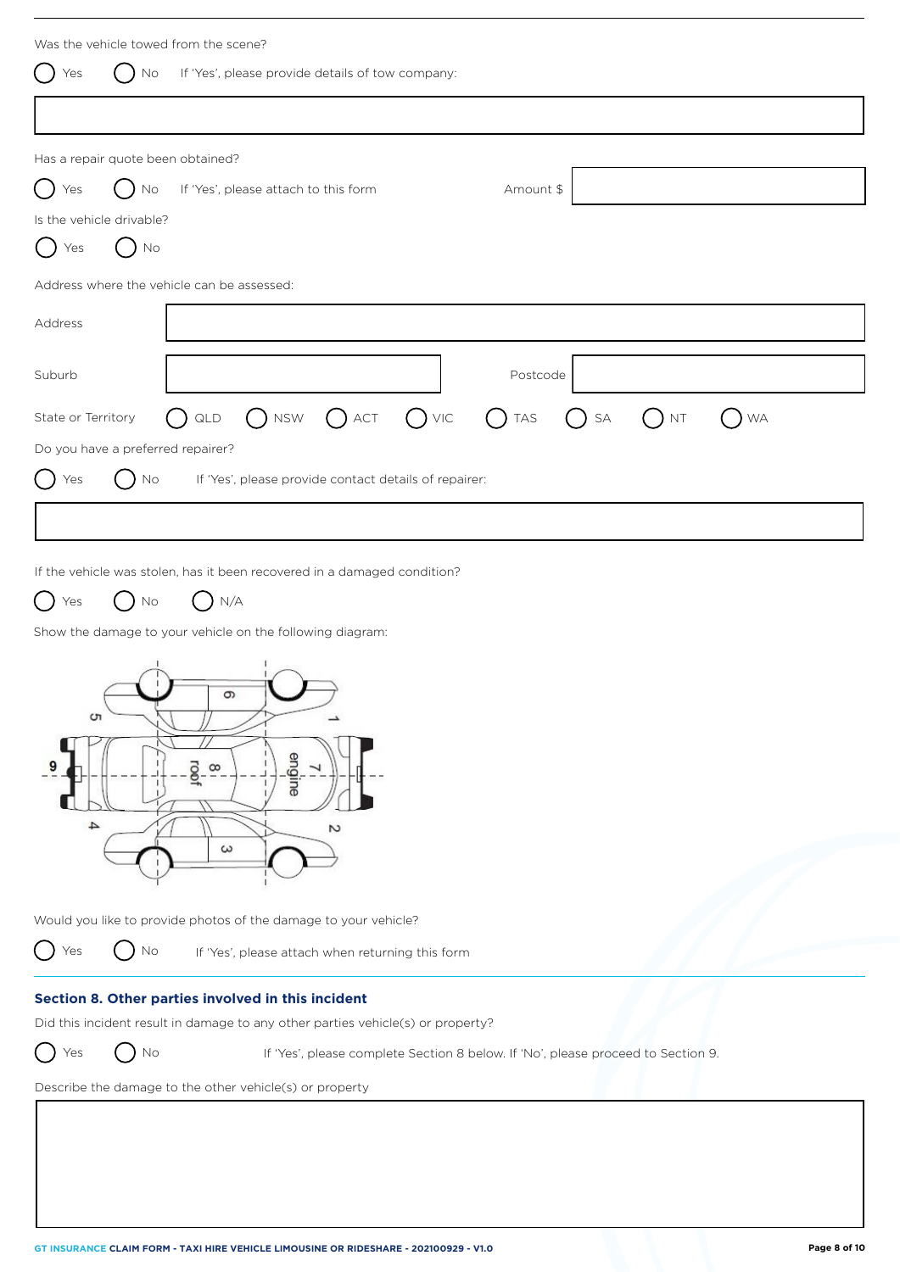| Was the vehicle towed from the scene?                                                              |                                                                                  |
|----------------------------------------------------------------------------------------------------|----------------------------------------------------------------------------------|
| No<br>If 'Yes', please provide details of tow company:<br>Yes                                      |                                                                                  |
|                                                                                                    |                                                                                  |
| Has a repair quote been obtained?                                                                  |                                                                                  |
| If 'Yes', please attach to this form<br>Yes<br>No                                                  | Amount \$                                                                        |
| Is the vehicle drivable?                                                                           |                                                                                  |
| No<br>Yes                                                                                          |                                                                                  |
| Address where the vehicle can be assessed:                                                         |                                                                                  |
| Address                                                                                            |                                                                                  |
| Suburb                                                                                             | Postcode                                                                         |
| <b>NSW</b><br>( )<br>$\mathsf{ACT}$<br>State or Territory<br>QLD                                   | $()$ VIC<br>$( )$ TAS<br>SA<br><b>NT</b><br><b>WA</b>                            |
| Do you have a preferred repairer?                                                                  |                                                                                  |
| No<br>If 'Yes', please provide contact details of repairer:<br>Yes                                 |                                                                                  |
|                                                                                                    |                                                                                  |
|                                                                                                    |                                                                                  |
| If the vehicle was stolen, has it been recovered in a damaged condition?                           |                                                                                  |
| $\bigcup N/A$<br>$\bigcup$ No<br>Yes                                                               |                                                                                  |
| Show the damage to your vehicle on the following diagram:                                          |                                                                                  |
| л.<br>$\sqrt{2}$<br>G<br>C<br>engine<br>root<br>$\infty$<br>4<br>$\sim$<br>$\omega$                |                                                                                  |
| Would you like to provide photos of the damage to your vehicle?                                    |                                                                                  |
| No<br>If 'Yes', please attach when returning this form<br>Yes                                      |                                                                                  |
| Section 8. Other parties involved in this incident                                                 |                                                                                  |
| Did this incident result in damage to any other parties vehicle(s) or property?<br>$\rm No$<br>Yes | If 'Yes', please complete Section 8 below. If 'No', please proceed to Section 9. |
|                                                                                                    |                                                                                  |

Describe the damage to the other vehicle(s) or property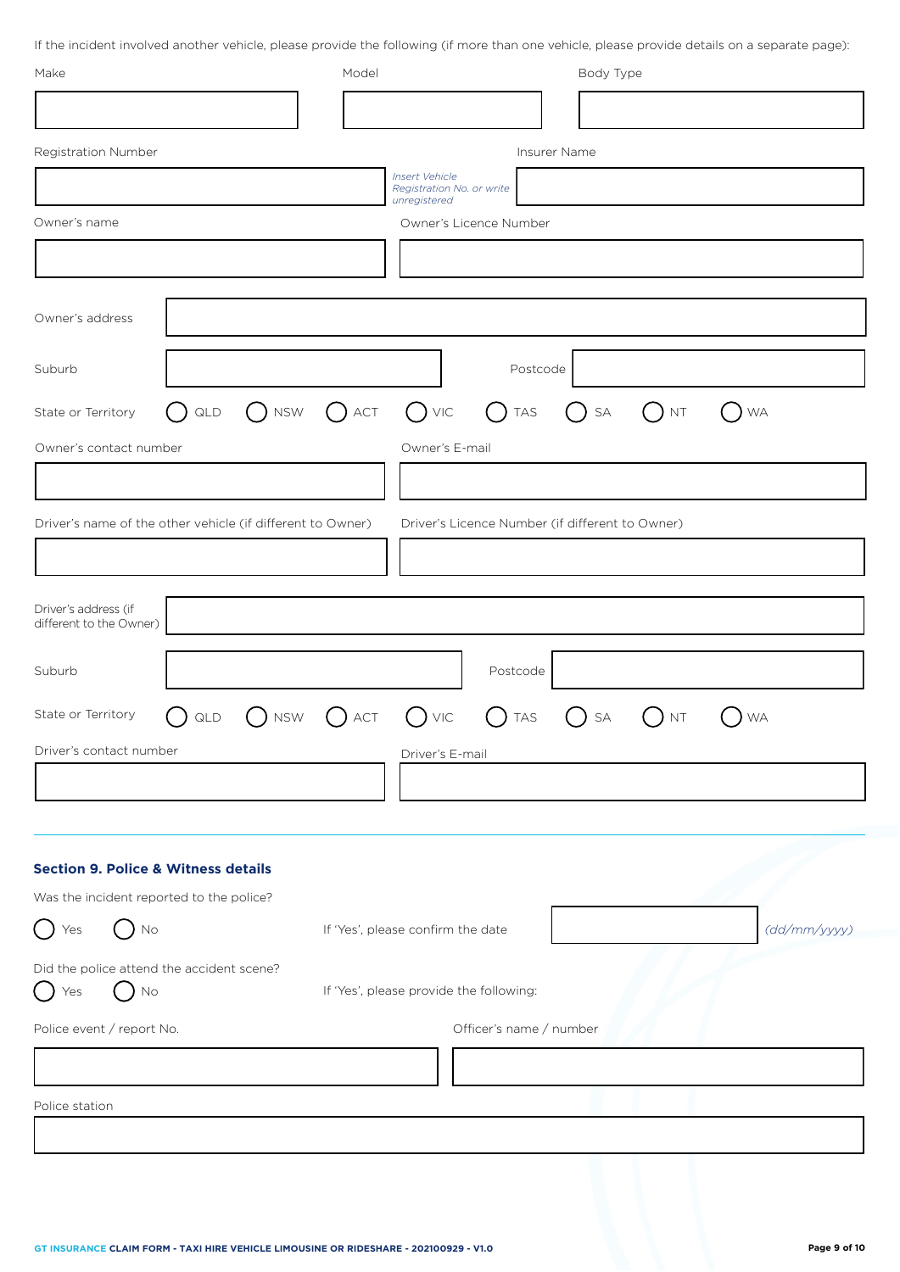If the incident involved another vehicle, please provide the following (if more than one vehicle, please provide details on a separate page):

| Make                                                                                                       |                |            | Model                             |                                                             |                                                 | Body Type            |                        |              |  |
|------------------------------------------------------------------------------------------------------------|----------------|------------|-----------------------------------|-------------------------------------------------------------|-------------------------------------------------|----------------------|------------------------|--------------|--|
|                                                                                                            |                |            |                                   |                                                             |                                                 |                      |                        |              |  |
| Registration Number                                                                                        |                |            |                                   |                                                             |                                                 | Insurer Name         |                        |              |  |
|                                                                                                            |                |            |                                   | Insert Vehicle<br>Registration No. or write<br>unregistered |                                                 |                      |                        |              |  |
| Owner's name                                                                                               |                |            |                                   |                                                             | Owner's Licence Number                          |                      |                        |              |  |
|                                                                                                            |                |            |                                   |                                                             |                                                 |                      |                        |              |  |
| Owner's address                                                                                            |                |            |                                   |                                                             |                                                 |                      |                        |              |  |
| Suburb                                                                                                     |                |            |                                   |                                                             | Postcode                                        |                      |                        |              |  |
| State or Territory                                                                                         | QLD            | $()$ NSW   | $()$ ACT                          | $\bigcirc$ VIC                                              | $\left(\begin{array}{c}\right)$<br><b>TAS</b>   | $()$ SA              | $($ )<br>$\mathsf{NT}$ | <b>WA</b>    |  |
| Owner's contact number                                                                                     |                |            |                                   | Owner's E-mail                                              |                                                 |                      |                        |              |  |
|                                                                                                            |                |            |                                   |                                                             |                                                 |                      |                        |              |  |
| Driver's name of the other vehicle (if different to Owner)                                                 |                |            |                                   |                                                             | Driver's Licence Number (if different to Owner) |                      |                        |              |  |
|                                                                                                            |                |            |                                   |                                                             |                                                 |                      |                        |              |  |
| Driver's address (if<br>different to the Owner)                                                            |                |            |                                   |                                                             |                                                 |                      |                        |              |  |
| Suburb                                                                                                     |                |            |                                   |                                                             | Postcode                                        |                      |                        |              |  |
| State or Territory                                                                                         | $\mathsf{QLD}$ | <b>NSW</b> | ACT<br>$\left( \quad \right)$     | $()$ VIC                                                    | $\bigcirc$<br><b>TAS</b>                        | $\mathsf{SA}\xspace$ | <b>NT</b>              | <b>WA</b>    |  |
| Driver's contact number                                                                                    |                |            |                                   | Driver's E-mail                                             |                                                 |                      |                        |              |  |
|                                                                                                            |                |            |                                   |                                                             |                                                 |                      |                        |              |  |
|                                                                                                            |                |            |                                   |                                                             |                                                 |                      |                        |              |  |
| <b>Section 9. Police &amp; Witness details</b>                                                             |                |            |                                   |                                                             |                                                 |                      |                        |              |  |
| Was the incident reported to the police?<br>$\Box$ No<br>$\left( \begin{array}{c} \end{array} \right)$ Yes |                |            | If 'Yes', please confirm the date |                                                             |                                                 |                      |                        | (dd/mm/yyyy) |  |
|                                                                                                            |                |            |                                   |                                                             |                                                 |                      |                        |              |  |
| Did the police attend the accident scene?<br>No<br>Yes                                                     |                |            |                                   |                                                             | If 'Yes', please provide the following:         |                      |                        |              |  |
| Police event / report No.                                                                                  |                |            |                                   |                                                             | Officer's name / number                         |                      |                        |              |  |
|                                                                                                            |                |            |                                   |                                                             |                                                 |                      |                        |              |  |
| Police station                                                                                             |                |            |                                   |                                                             |                                                 |                      |                        |              |  |
|                                                                                                            |                |            |                                   |                                                             |                                                 |                      |                        |              |  |
|                                                                                                            |                |            |                                   |                                                             |                                                 |                      |                        |              |  |